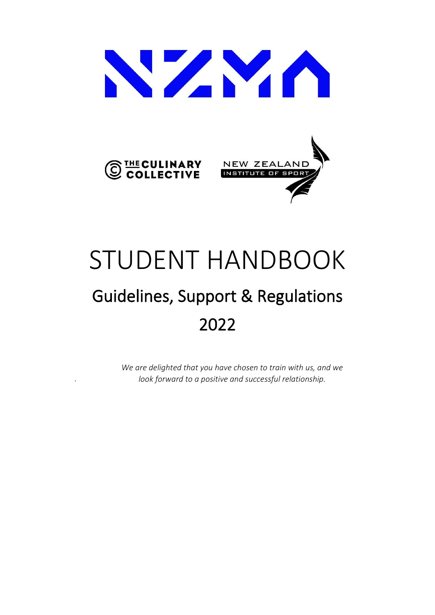

# STUDENT HANDBOOK Guidelines, Support & Regulations 2022

*We are delighted that you have chosen to train with us, and we look forward to a positive and successful relationship.*

*.*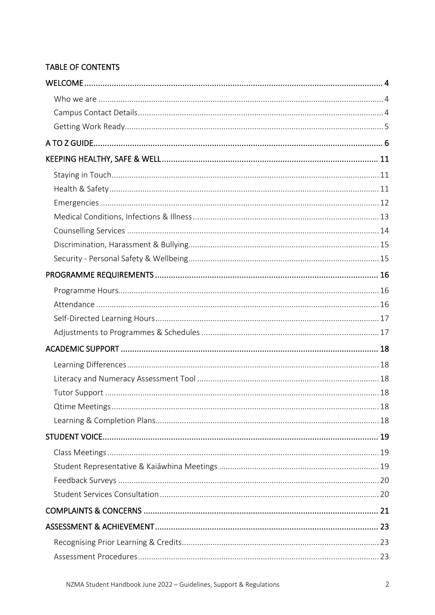#### TABLE OF CONTENTS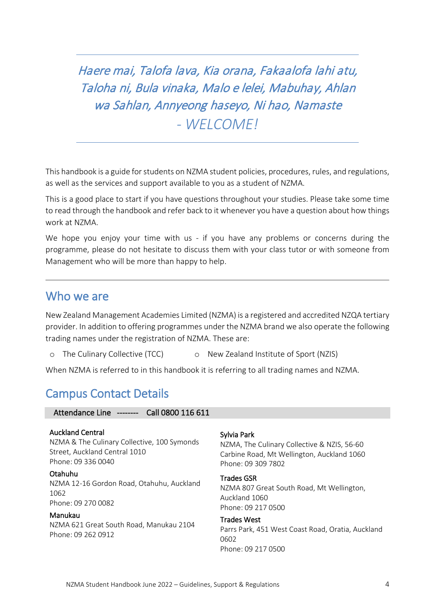Haere mai, Talofa lava, Kia orana, Fakaalofa lahi atu, Taloha ni, Bula vinaka, Malo e lelei, Mabuhay, Ahlan wa Sahlan, Annyeong haseyo, Ni hao, Namaste *- WELCOME!*

<span id="page-3-0"></span>This handbook is a guide for students on NZMA student policies, procedures, rules, and regulations, as well as the services and support available to you as a student of NZMA.

This is a good place to start if you have questions throughout your studies. Please take some time to read through the handbook and refer back to it whenever you have a question about how things work at NZMA.

We hope you enjoy your time with us - if you have any problems or concerns during the programme, please do not hesitate to discuss them with your class tutor or with someone from Management who will be more than happy to help.

### <span id="page-3-1"></span>Who we are

New Zealand Management Academies Limited (NZMA) is a registered and accredited NZQA tertiary provider. In addition to offering programmes under the NZMA brand we also operate the following trading names under the registration of NZMA. These are:

o The Culinary Collective (TCC) o New Zealand Institute of Sport (NZIS)

When NZMA is referred to in this handbook it is referring to all trading names and NZMA.

### <span id="page-3-2"></span>Campus Contact Details

#### Attendance Line -------- Call 0800 116 611

#### Auckland Central

NZMA & The Culinary Collective, 100 Symonds Street, Auckland Central 1010 Phone: 09 336 0040

#### Otahuhu

NZMA 12-16 Gordon Road, Otahuhu, Auckland 1062 Phone: 09 270 0082

#### Manukau NZMA 621 Great South Road, Manukau 2104 Phone: 09 262 0912

#### Sylvia Park

NZMA, The Culinary Collective & NZIS, 56-60 Carbine Road, Mt Wellington, Auckland 1060 Phone: 09 309 7802

#### Trades GSR

NZMA 807 Great South Road, Mt Wellington, Auckland 1060 Phone: 09 217 0500

#### Trades West

Parrs Park, 451 West Coast Road, Oratia, Auckland 0602 Phone: 09 217 0500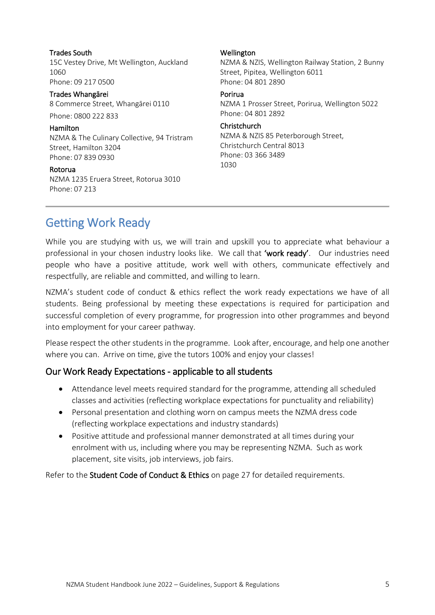#### Trades South

15C Vestey Drive, Mt Wellington, Auckland 1060 Phone: 09 217 0500

Trades Whangārei 8 Commerce Street, Whangārei 0110 Phone: 0800 222 833

Hamilton NZMA & The Culinary Collective, 94 Tristram Street, Hamilton 3204 Phone: 07 839 0930

Rotorua NZMA 1235 Eruera Street, Rotorua 3010 Phone: 07 213

#### Wellington

NZMA & NZIS, Wellington Railway Station, 2 Bunny Street, Pipitea, Wellington 6011 Phone: 04 801 2890

#### Porirua

NZMA 1 Prosser Street, Porirua, Wellington 5022 Phone: 04 801 2892

#### Christchurch

NZMA & NZIS 85 Peterborough Street, Christchurch Central 8013 Phone: 03 366 3489 1030

### <span id="page-4-0"></span>Getting Work Ready

While you are studying with us, we will train and upskill you to appreciate what behaviour a professional in your chosen industry looks like. We call that 'work ready'. Our industries need people who have a positive attitude, work well with others, communicate effectively and respectfully, are reliable and committed, and willing to learn.

NZMA's student code of conduct & ethics reflect the work ready expectations we have of all students. Being professional by meeting these expectations is required for participation and successful completion of every programme, for progression into other programmes and beyond into employment for your career pathway.

Please respect the other students in the programme. Look after, encourage, and help one another where you can. Arrive on time, give the tutors 100% and enjoy your classes!

#### Our Work Ready Expectations - applicable to all students

- Attendance level meets required standard for the programme, attending all scheduled classes and activities (reflecting workplace expectations for punctuality and reliability)
- Personal presentation and clothing worn on campus meets the NZMA dress code (reflecting workplace expectations and industry standards)
- Positive attitude and professional manner demonstrated at all times during your enrolment with us, including where you may be representing NZMA. Such as work placement, site visits, job interviews, job fairs.

Refer to the Student Code of Conduct & Ethics on page 27 for detailed requirements.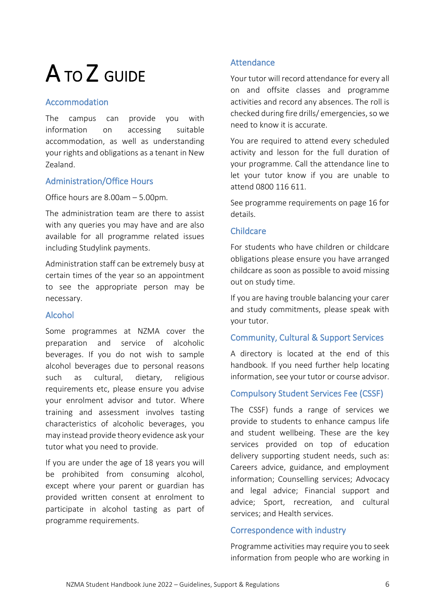# <span id="page-5-0"></span>A TO Z GUIDE

#### **Accommodation**

The campus can provide you with information on accessing suitable accommodation, as well as understanding your rights and obligations as a tenant in New Zealand.

#### Administration/Office Hours

Office hours are 8.00am – 5.00pm.

The administration team are there to assist with any queries you may have and are also available for all programme related issues including Studylink payments.

Administration staff can be extremely busy at certain times of the year so an appointment to see the appropriate person may be necessary.

#### Alcohol

Some programmes at NZMA cover the preparation and service of alcoholic beverages. If you do not wish to sample alcohol beverages due to personal reasons such as cultural, dietary, religious requirements etc, please ensure you advise your enrolment advisor and tutor. Where training and assessment involves tasting characteristics of alcoholic beverages, you may instead provide theory evidence ask your tutor what you need to provide.

If you are under the age of 18 years you will be prohibited from consuming alcohol, except where your parent or guardian has provided written consent at enrolment to participate in alcohol tasting as part of programme requirements.

#### Attendance

Your tutor will record attendance for every all on and offsite classes and programme activities and record any absences. The roll is checked during fire drills/ emergencies, so we need to know it is accurate.

You are required to attend every scheduled activity and lesson for the full duration of your programme. Call the attendance line to let your tutor know if you are unable to attend 0800 116 611.

See programme requirements on page 16 for details.

#### Childcare

For students who have children or childcare obligations please ensure you have arranged childcare as soon as possible to avoid missing out on study time.

If you are having trouble balancing your carer and study commitments, please speak with your tutor.

#### Community, Cultural & Support Services

A directory is located at the end of this handbook. If you need further help locating information, see your tutor or course advisor.

#### Compulsory Student Services Fee (CSSF)

The CSSF) funds a range of services we provide to students to enhance campus life and student wellbeing. These are the key services provided on top of education delivery supporting student needs, such as: Careers advice, guidance, and employment information; Counselling services; Advocacy and legal advice; Financial support and advice; Sport, recreation, and cultural services; and Health services.

#### Correspondence with industry

Programme activities may require you to seek information from people who are working in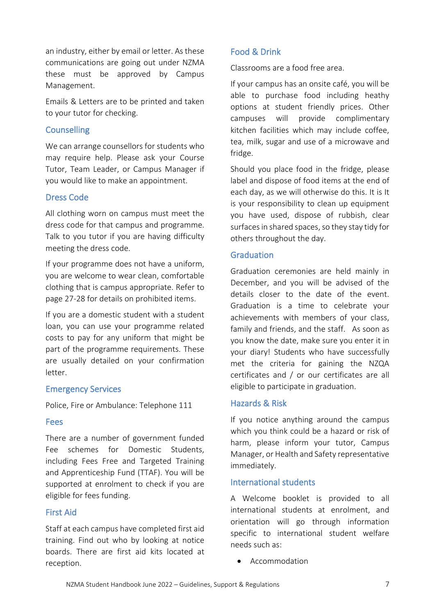an industry, either by email or letter. As these communications are going out under NZMA these must be approved by Campus Management.

Emails & Letters are to be printed and taken to your tutor for checking.

#### **Counselling**

We can arrange counsellors for students who may require help. Please ask your Course Tutor, Team Leader, or Campus Manager if you would like to make an appointment.

#### Dress Code

All clothing worn on campus must meet the dress code for that campus and programme. Talk to you tutor if you are having difficulty meeting the dress code.

If your programme does not have a uniform, you are welcome to wear clean, comfortable clothing that is campus appropriate. Refer to page 27-28 for details on prohibited items.

If you are a domestic student with a student loan, you can use your programme related costs to pay for any uniform that might be part of the programme requirements. These are usually detailed on your confirmation letter.

#### Emergency Services

Police, Fire or Ambulance: Telephone 111

#### Fees

There are a number of government funded Fee schemes for Domestic Students, including Fees Free and Targeted Training and Apprenticeship Fund (TTAF). You will be supported at enrolment to check if you are eligible for fees funding.

#### First Aid

Staff at each campus have completed first aid training. Find out who by looking at notice boards. There are first aid kits located at reception.

#### Food & Drink

Classrooms are a food free area.

If your campus has an onsite café, you will be able to purchase food including heathy options at student friendly prices. Other campuses will provide complimentary kitchen facilities which may include coffee, tea, milk, sugar and use of a microwave and fridge.

Should you place food in the fridge, please label and dispose of food items at the end of each day, as we will otherwise do this. It is It is your responsibility to clean up equipment you have used, dispose of rubbish, clear surfaces in shared spaces, so they stay tidy for others throughout the day.

#### **Graduation**

Graduation ceremonies are held mainly in December, and you will be advised of the details closer to the date of the event. Graduation is a time to celebrate your achievements with members of your class, family and friends, and the staff. As soon as you know the date, make sure you enter it in your diary! Students who have successfully met the criteria for gaining the NZQA certificates and / or our certificates are all eligible to participate in graduation.

#### Hazards & Risk

If you notice anything around the campus which you think could be a hazard or risk of harm, please inform your tutor, Campus Manager, or Health and Safety representative immediately.

#### International students

A Welcome booklet is provided to all international students at enrolment, and orientation will go through information specific to international student welfare needs such as:

• Accommodation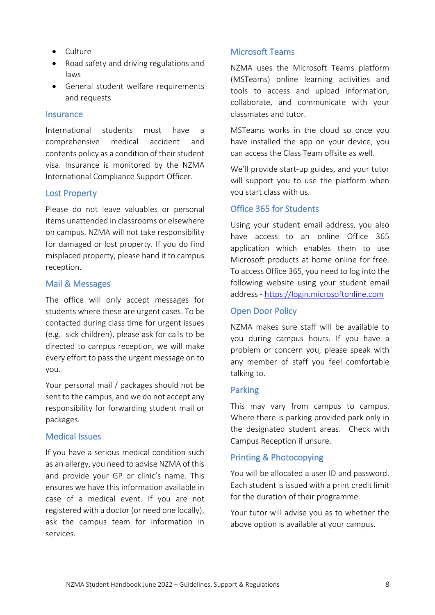- Culture
- Road safety and driving regulations and laws
- General student welfare requirements and requests

#### **Insurance**

International students must have a comprehensive medical accident and contents policy as a condition of their student visa. Insurance is monitored by the NZMA International Compliance Support Officer.

#### Lost Property

Please do not leave valuables or personal items unattended in classrooms or elsewhere on campus. NZMA will not take responsibility for damaged or lost property. If you do find misplaced property, please hand it to campus reception.

#### Mail & Messages

The office will only accept messages for students where these are urgent cases. To be contacted during class time for urgent issues (e.g. sick children), please ask for calls to be directed to campus reception, we will make every effort to pass the urgent message on to you.

Your personal mail / packages should not be sent to the campus, and we do not accept any responsibility for forwarding student mail or packages.

#### Medical Issues

If you have a serious medical condition such as an allergy, you need to advise NZMA of this and provide your GP or clinic's name. This ensures we have this information available in case of a medical event. If you are not registered with a doctor (or need one locally), ask the campus team for information in services.

#### Microsoft Teams

NZMA uses the Microsoft Teams platform (MSTeams) online learning activities and tools to access and upload information, collaborate, and communicate with your classmates and tutor.

MSTeams works in the cloud so once you have installed the app on your device, you can access the Class Team offsite as well.

We'll provide start-up guides, and your tutor will support you to use the platform when you start class with us.

#### Office 365 for Students

Using your student email address, you also have access to an online Office 365 application which enables them to use Microsoft products at home online for free. To access Office 365, you need to log into the following website using your student email address - [https://login.microsoftonline.com](https://login.microsoftonline.com/)

#### Open Door Policy

NZMA makes sure staff will be available to you during campus hours. If you have a problem or concern you, please speak with any member of staff you feel comfortable talking to.

#### Parking

This may vary from campus to campus. Where there is parking provided park only in the designated student areas. Check with Campus Reception if unsure.

#### Printing & Photocopying

You will be allocated a user ID and password. Each student is issued with a print credit limit for the duration of their programme.

Your tutor will advise you as to whether the above option is available at your campus.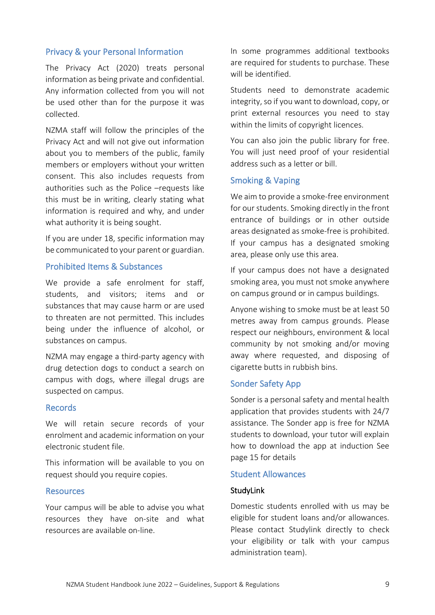#### Privacy & your Personal Information

The Privacy Act (2020) treats personal information as being private and confidential. Any information collected from you will not be used other than for the purpose it was collected.

NZMA staff will follow the principles of the Privacy Act and will not give out information about you to members of the public, family members or employers without your written consent. This also includes requests from authorities such as the Police –requests like this must be in writing, clearly stating what information is required and why, and under what authority it is being sought.

If you are under 18, specific information may be communicated to your parent or guardian.

#### Prohibited Items & Substances

We provide a safe enrolment for staff, students, and visitors; items and or substances that may cause harm or are used to threaten are not permitted. This includes being under the influence of alcohol, or substances on campus.

NZMA may engage a third-party agency with drug detection dogs to conduct a search on campus with dogs, where illegal drugs are suspected on campus.

#### Records

We will retain secure records of your enrolment and academic information on your electronic student file.

This information will be available to you on request should you require copies.

#### **Resources**

Your campus will be able to advise you what resources they have on-site and what resources are available on-line.

In some programmes additional textbooks are required for students to purchase. These will be identified.

Students need to demonstrate academic integrity, so if you want to download, copy, or print external resources you need to stay within the limits of copyright licences.

You can also join the public library for free. You will just need proof of your residential address such as a letter or bill.

#### Smoking & Vaping

We aim to provide a smoke-free environment for our students. Smoking directly in the front entrance of buildings or in other outside areas designated as smoke-free is prohibited. If your campus has a designated smoking area, please only use this area.

If your campus does not have a designated smoking area, you must not smoke anywhere on campus ground or in campus buildings.

Anyone wishing to smoke must be at least 50 metres away from campus grounds. Please respect our neighbours, environment & local community by not smoking and/or moving away where requested, and disposing of cigarette butts in rubbish bins.

#### Sonder Safety App

Sonder is a personal safety and mental health application that provides students with 24/7 assistance. The Sonder app is free for NZMA students to download, your tutor will explain how to download the app at induction See page 15 for details

#### Student Allowances

#### StudyLink

Domestic students enrolled with us may be eligible for student loans and/or allowances. Please contact Studylink directly to check your eligibility or talk with your campus administration team).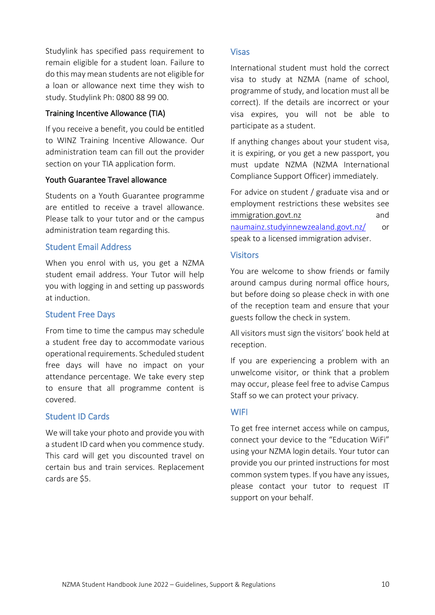Studylink has specified pass requirement to remain eligible for a student loan. Failure to do this may mean students are not eligible for a loan or allowance next time they wish to study. Studylink Ph: 0800 88 99 00.

#### Training Incentive Allowance (TIA)

If you receive a benefit, you could be entitled to WINZ Training Incentive Allowance. Our administration team can fill out the provider section on your TIA application form.

#### Youth Guarantee Travel allowance

Students on a Youth Guarantee programme are entitled to receive a travel allowance. Please talk to your tutor and or the campus administration team regarding this.

#### Student Email Address

When you enrol with us, you get a NZMA student email address. Your Tutor will help you with logging in and setting up passwords at induction.

#### Student Free Days

From time to time the campus may schedule a student free day to accommodate various operational requirements. Scheduled student free days will have no impact on your attendance percentage. We take every step to ensure that all programme content is covered.

#### Student ID Cards

We will take your photo and provide you with a student ID card when you commence study. This card will get you discounted travel on certain bus and train services. Replacement cards are \$5.

#### Visas

International student must hold the correct visa to study at NZMA (name of school, programme of study, and location must all be correct). If the details are incorrect or your visa expires, you will not be able to participate as a student.

If anything changes about your student visa, it is expiring, or you get a new passport, you must update NZMA (NZMA International Compliance Support Officer) immediately.

For advice on student / graduate visa and or employment restrictions these websites see [immigration.govt.nz](https://www.immigration.govt.nz/) and [naumainz.studyinnewzealand.govt.nz/](https://naumainz.studyinnewzealand.govt.nz/) or speak to a licensed immigration adviser.

#### **Visitors**

You are welcome to show friends or family around campus during normal office hours, but before doing so please check in with one of the reception team and ensure that your guests follow the check in system.

All visitors must sign the visitors' book held at reception.

If you are experiencing a problem with an unwelcome visitor, or think that a problem may occur, please feel free to advise Campus Staff so we can protect your privacy.

#### **WIFI**

To get free internet access while on campus, connect your device to the "Education WiFi" using your NZMA login details. Your tutor can provide you our printed instructions for most common system types. If you have any issues, please contact your tutor to request IT support on your behalf.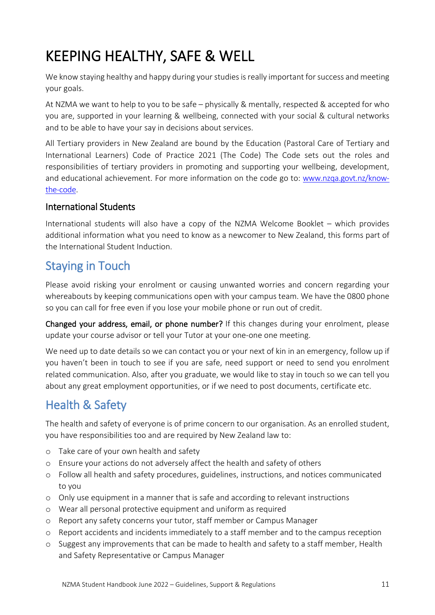# <span id="page-10-0"></span>KEEPING HEALTHY, SAFE & WELL

We know staying healthy and happy during your studies is really important for success and meeting your goals.

At NZMA we want to help to you to be safe – physically & mentally, respected & accepted for who you are, supported in your learning & wellbeing, connected with your social & cultural networks and to be able to have your say in decisions about services.

All Tertiary providers in New Zealand are bound by the Education (Pastoral Care of Tertiary and International Learners) Code of Practice 2021 (The Code) The Code sets out the roles and responsibilities of tertiary providers in promoting and supporting your wellbeing, development, and educational achievement. For more information on the code go to: [www.nzqa.govt.nz/know](http://www.nzqa.govt.nz/know-the-code)[the-code.](http://www.nzqa.govt.nz/know-the-code)

#### International Students

International students will also have a copy of the NZMA Welcome Booklet – which provides additional information what you need to know as a newcomer to New Zealand, this forms part of the International Student Induction.

### <span id="page-10-1"></span>Staying in Touch

Please avoid risking your enrolment or causing unwanted worries and concern regarding your whereabouts by keeping communications open with your campus team. We have the 0800 phone so you can call for free even if you lose your mobile phone or run out of credit.

Changed your address, email, or phone number? If this changes during your enrolment, please update your course advisor or tell your Tutor at your one-one one meeting.

We need up to date details so we can contact you or your next of kin in an emergency, follow up if you haven't been in touch to see if you are safe, need support or need to send you enrolment related communication. Also, after you graduate, we would like to stay in touch so we can tell you about any great employment opportunities, or if we need to post documents, certificate etc.

### <span id="page-10-2"></span>Health & Safety

The health and safety of everyone is of prime concern to our organisation. As an enrolled student, you have responsibilities too and are required by New Zealand law to:

- o Take care of your own health and safety
- o Ensure your actions do not adversely affect the health and safety of others
- o Follow all health and safety procedures, guidelines, instructions, and notices communicated to you
- o Only use equipment in a manner that is safe and according to relevant instructions
- o Wear all personal protective equipment and uniform as required
- o Report any safety concerns your tutor, staff member or Campus Manager
- o Report accidents and incidents immediately to a staff member and to the campus reception
- o Suggest any improvements that can be made to health and safety to a staff member, Health and Safety Representative or Campus Manager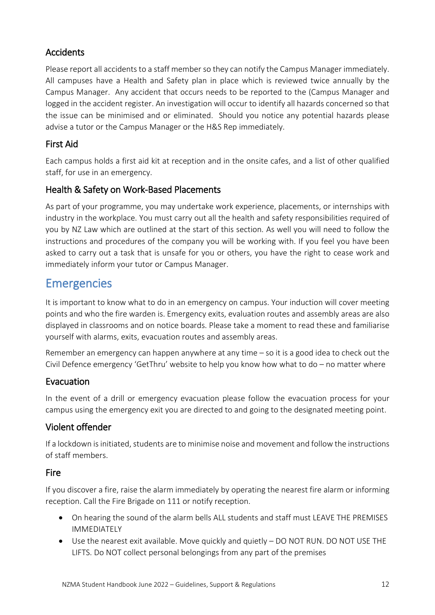#### Accidents

Please report all accidents to a staff member so they can notify the Campus Manager immediately. All campuses have a Health and Safety plan in place which is reviewed twice annually by the Campus Manager. Any accident that occurs needs to be reported to the (Campus Manager and logged in the accident register. An investigation will occur to identify all hazards concerned so that the issue can be minimised and or eliminated. Should you notice any potential hazards please advise a tutor or the Campus Manager or the H&S Rep immediately.

#### First Aid

Each campus holds a first aid kit at reception and in the onsite cafes, and a list of other qualified staff, for use in an emergency.

#### Health & Safety on Work-Based Placements

As part of your programme, you may undertake work experience, placements, or internships with industry in the workplace. You must carry out all the health and safety responsibilities required of you by NZ Law which are outlined at the start of this section. As well you will need to follow the instructions and procedures of the company you will be working with. If you feel you have been asked to carry out a task that is unsafe for you or others, you have the right to cease work and immediately inform your tutor or Campus Manager.

### <span id="page-11-0"></span>**Emergencies**

It is important to know what to do in an emergency on campus. Your induction will cover meeting points and who the fire warden is. Emergency exits, evaluation routes and assembly areas are also displayed in classrooms and on notice boards. Please take a moment to read these and familiarise yourself with alarms, exits, evacuation routes and assembly areas.

Remember an emergency can happen anywhere at any time – so it is a good idea to check out the Civil Defence emergency 'GetThru' website to help you know how what to do – no matter where

#### Evacuation

In the event of a drill or emergency evacuation please follow the evacuation process for your campus using the emergency exit you are directed to and going to the designated meeting point.

#### Violent offender

If a lockdown is initiated, students are to minimise noise and movement and follow the instructions of staff members.

#### Fire

If you discover a fire, raise the alarm immediately by operating the nearest fire alarm or informing reception. Call the Fire Brigade on 111 or notify reception.

- On hearing the sound of the alarm bells ALL students and staff must LEAVE THE PREMISES IMMEDIATELY
- Use the nearest exit available. Move quickly and quietly DO NOT RUN. DO NOT USE THE LIFTS. Do NOT collect personal belongings from any part of the premises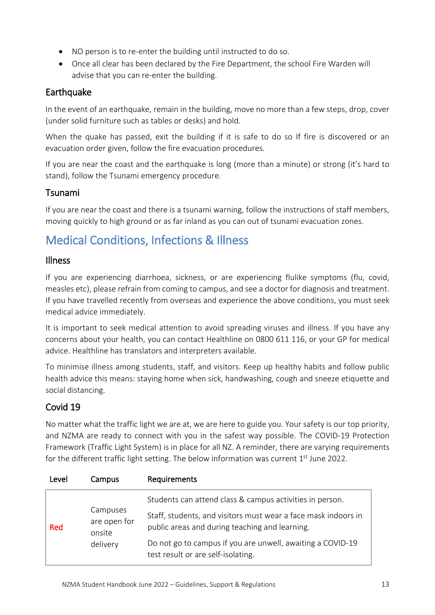- NO person is to re-enter the building until instructed to do so.
- Once all clear has been declared by the Fire Department, the school Fire Warden will advise that you can re-enter the building.

#### **Earthquake**

In the event of an earthquake, remain in the building, move no more than a few steps, drop, cover (under solid furniture such as tables or desks) and hold.

When the quake has passed, exit the building if it is safe to do so If fire is discovered or an evacuation order given, follow the fire evacuation procedures.

If you are near the coast and the earthquake is long (more than a minute) or strong (it's hard to stand), follow the Tsunami emergency procedure.

#### Tsunami

If you are near the coast and there is a tsunami warning, follow the instructions of staff members, moving quickly to high ground or as far inland as you can out of tsunami evacuation zones.

### <span id="page-12-0"></span>Medical Conditions, Infections & Illness

#### Illness

If you are experiencing diarrhoea, sickness, or are experiencing flulike symptoms (flu, covid, measles etc), please refrain from coming to campus, and see a doctor for diagnosis and treatment. If you have travelled recently from overseas and experience the above conditions, you must seek medical advice immediately.

It is important to seek medical attention to avoid spreading viruses and illness. If you have any concerns about your health, you can contact Healthline on 0800 611 116, or your GP for medical advice. Healthline has translators and interpreters available.

To minimise illness among students, staff, and visitors. Keep up healthy habits and follow public health advice this means: staying home when sick, handwashing, cough and sneeze etiquette and social distancing.

#### Covid 19

No matter what the traffic light we are at, we are here to guide you. Your safety is our top priority, and NZMA are ready to connect with you in the safest way possible. The COVID-19 Protection Framework (Traffic Light System) is in place for all NZ. A reminder, there are varying requirements for the different traffic light setting. The below information was current 1st June 2022.

| Level      | Campus                                         | Requirements                                                                                                                                                                                                                                                                     |
|------------|------------------------------------------------|----------------------------------------------------------------------------------------------------------------------------------------------------------------------------------------------------------------------------------------------------------------------------------|
| <b>Red</b> | Campuses<br>are open for<br>onsite<br>delivery | Students can attend class & campus activities in person.<br>Staff, students, and visitors must wear a face mask indoors in<br>public areas and during teaching and learning.<br>Do not go to campus if you are unwell, awaiting a COVID-19<br>test result or are self-isolating. |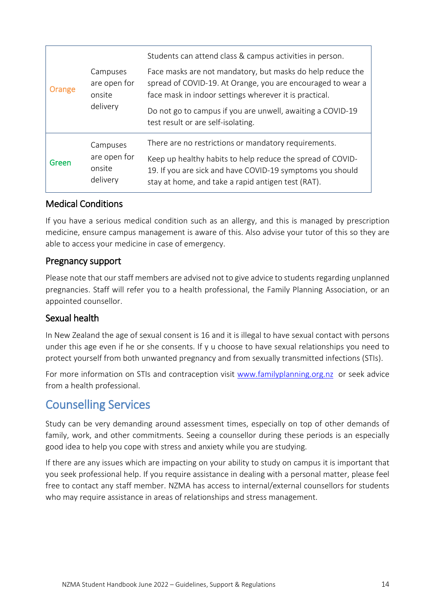|        |                                                | Students can attend class & campus activities in person.                                                                                                                                                                              |
|--------|------------------------------------------------|---------------------------------------------------------------------------------------------------------------------------------------------------------------------------------------------------------------------------------------|
| Orange | Campuses<br>are open for<br>onsite<br>delivery | Face masks are not mandatory, but masks do help reduce the<br>spread of COVID-19. At Orange, you are encouraged to wear a<br>face mask in indoor settings wherever it is practical.                                                   |
|        |                                                | Do not go to campus if you are unwell, awaiting a COVID-19<br>test result or are self-isolating.                                                                                                                                      |
| Green  | Campuses<br>are open for<br>onsite<br>delivery | There are no restrictions or mandatory requirements.<br>Keep up healthy habits to help reduce the spread of COVID-<br>19. If you are sick and have COVID-19 symptoms you should<br>stay at home, and take a rapid antigen test (RAT). |

#### Medical Conditions

If you have a serious medical condition such as an allergy, and this is managed by prescription medicine, ensure campus management is aware of this. Also advise your tutor of this so they are able to access your medicine in case of emergency.

#### Pregnancy support

Please note that our staff members are advised not to give advice to students regarding unplanned pregnancies. Staff will refer you to a health professional, the Family Planning Association, or an appointed counsellor.

#### Sexual health

In New Zealand the age of sexual consent is 16 and it is illegal to have sexual contact with persons under this age even if he or she consents. If y u choose to have sexual relationships you need to protect yourself from both unwanted pregnancy and from sexually transmitted infections (STIs).

For more information on STIs and contraception visit [www.familyplanning.org.nz](http://www.familyplanning.org.nz/) or seek advice from a health professional.

### <span id="page-13-0"></span>Counselling Services

Study can be very demanding around assessment times, especially on top of other demands of family, work, and other commitments. Seeing a counsellor during these periods is an especially good idea to help you cope with stress and anxiety while you are studying.

<span id="page-13-1"></span>If there are any issues which are impacting on your ability to study on campus it is important that you seek professional help. If you require assistance in dealing with a personal matter, please feel free to contact any staff member. NZMA has access to internal/external counsellors for students who may require assistance in areas of relationships and stress management.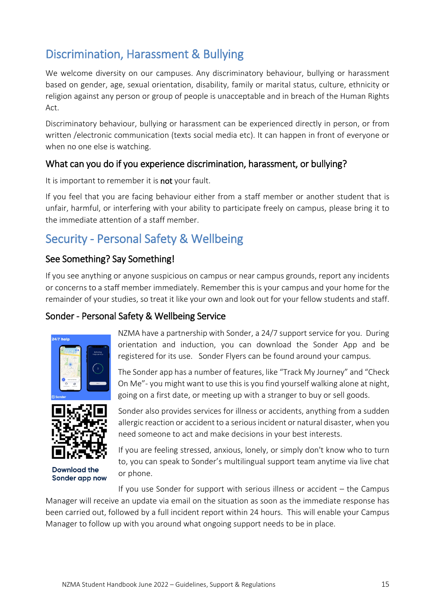### Discrimination, Harassment & Bullying

We welcome diversity on our campuses. Any discriminatory behaviour, bullying or harassment based on gender, age, sexual orientation, disability, family or marital status, culture, ethnicity or religion against any person or group of people is unacceptable and in breach of the Human Rights Act.

Discriminatory behaviour, bullying or harassment can be experienced directly in person, or from written /electronic communication (texts social media etc). It can happen in front of everyone or when no one else is watching.

#### What can you do if you experience discrimination, harassment, or bullying?

It is important to remember it is not your fault.

If you feel that you are facing behaviour either from a staff member or another student that is unfair, harmful, or interfering with your ability to participate freely on campus, please bring it to the immediate attention of a staff member.

### <span id="page-14-0"></span>Security - Personal Safety & Wellbeing

#### See Something? Say Something!

If you see anything or anyone suspicious on campus or near campus grounds, report any incidents or concerns to a staff member immediately. Remember this is your campus and your home for the remainder of your studies, so treat it like your own and look out for your fellow students and staff.

#### Sonder - Personal Safety & Wellbeing Service



Download the Sonder app now

NZMA have a partnership with Sonder, a 24/7 support service for you. During orientation and induction, you can download the Sonder App and be registered for its use. Sonder Flyers can be found around your campus.

The Sonder app has a number of features, like "Track My Journey" and "Check On Me"- you might want to use this is you find yourself walking alone at night, going on a first date, or meeting up with a stranger to buy or sell goods.

Sonder also provides services for illness or accidents, anything from a sudden allergic reaction or accident to a serious incident or natural disaster, when you need someone to act and make decisions in your best interests.

If you are feeling stressed, anxious, lonely, or simply don't know who to turn to, you can speak to Sonder's multilingual support team anytime via live chat or phone.

If you use Sonder for support with serious illness or accident – the Campus Manager will receive an update via email on the situation as soon as the immediate response has been carried out, followed by a full incident report within 24 hours. This will enable your Campus Manager to follow up with you around what ongoing support needs to be in place.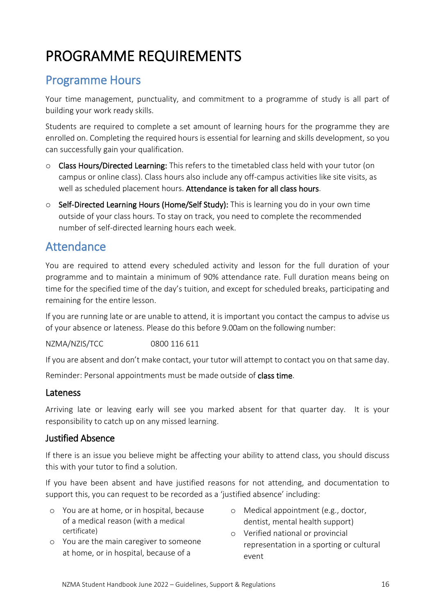# <span id="page-15-0"></span>PROGRAMME REQUIREMENTS

### <span id="page-15-1"></span>Programme Hours

Your time management, punctuality, and commitment to a programme of study is all part of building your work ready skills.

Students are required to complete a set amount of learning hours for the programme they are enrolled on. Completing the required hours is essential for learning and skills development, so you can successfully gain your qualification.

- o Class Hours/Directed Learning: This refers to the timetabled class held with your tutor (on campus or online class). Class hours also include any off-campus activities like site visits, as well as scheduled placement hours. Attendance is taken for all class hours.
- $\circ$  Self-Directed Learning Hours (Home/Self Study): This is learning you do in your own time outside of your class hours. To stay on track, you need to complete the recommended number of self-directed learning hours each week.

### <span id="page-15-2"></span>Attendance

You are required to attend every scheduled activity and lesson for the full duration of your programme and to maintain a minimum of 90% attendance rate. Full duration means being on time for the specified time of the day's tuition, and except for scheduled breaks, participating and remaining for the entire lesson.

If you are running late or are unable to attend, it is important you contact the campus to advise us of your absence or lateness. Please do this before 9.00am on the following number:

NZMA/NZIS/TCC 0800 116 611

If you are absent and don't make contact, your tutor will attempt to contact you on that same day.

Reminder: Personal appointments must be made outside of class time.

#### Lateness

Arriving late or leaving early will see you marked absent for that quarter day. It is your responsibility to catch up on any missed learning.

#### Justified Absence

If there is an issue you believe might be affecting your ability to attend class, you should discuss this with your tutor to find a solution.

If you have been absent and have justified reasons for not attending, and documentation to support this, you can request to be recorded as a 'justified absence' including:

- o You are at home, or in hospital, because of a medical reason (with a medical certificate)
- o You are the main caregiver to someone at home, or in hospital, because of a
- o Medical appointment (e.g., doctor, dentist, mental health support)
- o Verified national or provincial representation in a sporting or cultural event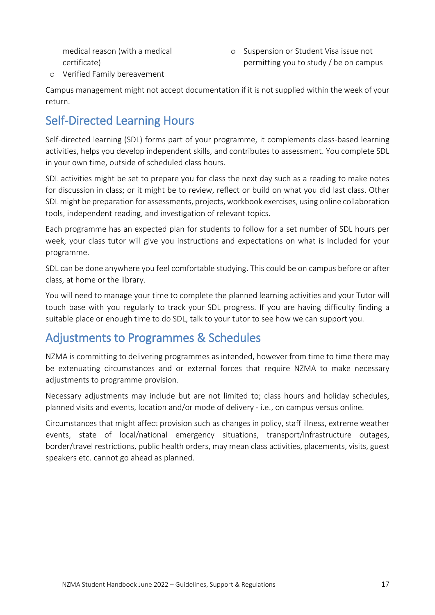medical reason (with a medical certificate)

o Suspension or Student Visa issue not permitting you to study / be on campus

o Verified Family bereavement

Campus management might not accept documentation if it is not supplied within the week of your return.

### <span id="page-16-0"></span>Self-Directed Learning Hours

Self-directed learning (SDL) forms part of your programme, it complements class-based learning activities, helps you develop independent skills, and contributes to assessment. You complete SDL in your own time, outside of scheduled class hours.

SDL activities might be set to prepare you for class the next day such as a reading to make notes for discussion in class; or it might be to review, reflect or build on what you did last class. Other SDL might be preparation for assessments, projects, workbook exercises, using online collaboration tools, independent reading, and investigation of relevant topics.

Each programme has an expected plan for students to follow for a set number of SDL hours per week, your class tutor will give you instructions and expectations on what is included for your programme.

SDL can be done anywhere you feel comfortable studying. This could be on campus before or after class, at home or the library.

You will need to manage your time to complete the planned learning activities and your Tutor will touch base with you regularly to track your SDL progress. If you are having difficulty finding a suitable place or enough time to do SDL, talk to your tutor to see how we can support you.

### <span id="page-16-1"></span>Adjustments to Programmes & Schedules

NZMA is committing to delivering programmes as intended, however from time to time there may be extenuating circumstances and or external forces that require NZMA to make necessary adjustments to programme provision.

Necessary adjustments may include but are not limited to; class hours and holiday schedules, planned visits and events, location and/or mode of delivery - i.e., on campus versus online.

Circumstances that might affect provision such as changes in policy, staff illness, extreme weather events, state of local/national emergency situations, transport/infrastructure outages, border/travel restrictions, public health orders, may mean class activities, placements, visits, guest speakers etc. cannot go ahead as planned.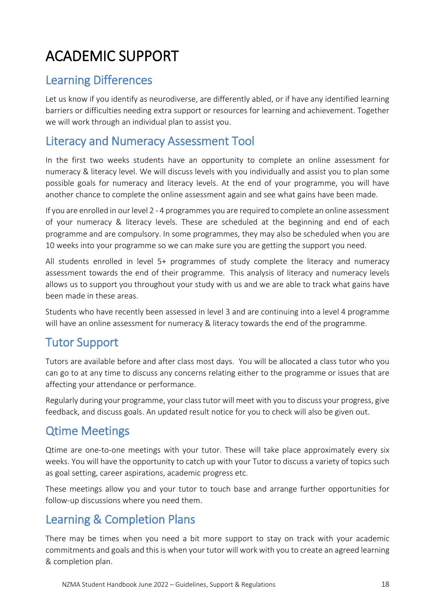# <span id="page-17-0"></span>ACADEMIC SUPPORT

### <span id="page-17-1"></span>Learning Differences

Let us know if you identify as neurodiverse, are differently abled, or if have any identified learning barriers or difficulties needing extra support or resources for learning and achievement. Together we will work through an individual plan to assist you.

### <span id="page-17-2"></span>Literacy and Numeracy Assessment Tool

In the first two weeks students have an opportunity to complete an online assessment for numeracy & literacy level. We will discuss levels with you individually and assist you to plan some possible goals for numeracy and literacy levels. At the end of your programme, you will have another chance to complete the online assessment again and see what gains have been made.

If you are enrolled in our level 2 - 4 programmes you are required to complete an online assessment of your numeracy & literacy levels. These are scheduled at the beginning and end of each programme and are compulsory. In some programmes, they may also be scheduled when you are 10 weeks into your programme so we can make sure you are getting the support you need.

All students enrolled in level 5+ programmes of study complete the literacy and numeracy assessment towards the end of their programme. This analysis of literacy and numeracy levels allows us to support you throughout your study with us and we are able to track what gains have been made in these areas.

Students who have recently been assessed in level 3 and are continuing into a level 4 programme will have an online assessment for numeracy & literacy towards the end of the programme.

### <span id="page-17-3"></span>Tutor Support

Tutors are available before and after class most days. You will be allocated a class tutor who you can go to at any time to discuss any concerns relating either to the programme or issues that are affecting your attendance or performance.

Regularly during your programme, your class tutor will meet with you to discuss your progress, give feedback, and discuss goals. An updated result notice for you to check will also be given out.

### <span id="page-17-4"></span>Qtime Meetings

Qtime are one-to-one meetings with your tutor. These will take place approximately every six weeks. You will have the opportunity to catch up with your Tutor to discuss a variety of topics such as goal setting, career aspirations, academic progress etc.

These meetings allow you and your tutor to touch base and arrange further opportunities for follow-up discussions where you need them.

### <span id="page-17-5"></span>Learning & Completion Plans

There may be times when you need a bit more support to stay on track with your academic commitments and goals and this is when your tutor will work with you to create an agreed learning & completion plan.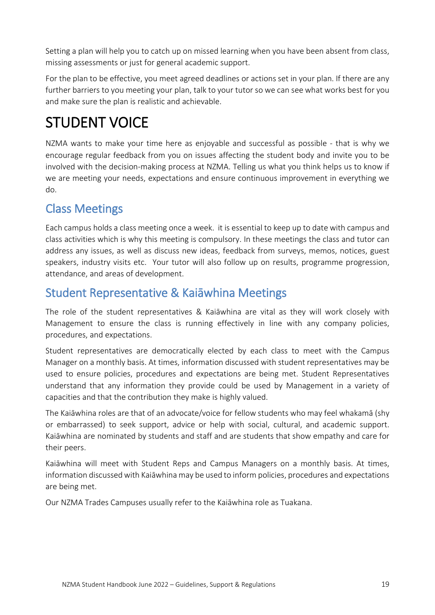Setting a plan will help you to catch up on missed learning when you have been absent from class, missing assessments or just for general academic support.

For the plan to be effective, you meet agreed deadlines or actions set in your plan. If there are any further barriers to you meeting your plan, talk to your tutor so we can see what works best for you and make sure the plan is realistic and achievable.

# <span id="page-18-0"></span>STUDENT VOICE

NZMA wants to make your time here as enjoyable and successful as possible - that is why we encourage regular feedback from you on issues affecting the student body and invite you to be involved with the decision-making process at NZMA. Telling us what you think helps us to know if we are meeting your needs, expectations and ensure continuous improvement in everything we do.

### <span id="page-18-1"></span>Class Meetings

Each campus holds a class meeting once a week. it is essential to keep up to date with campus and class activities which is why this meeting is compulsory. In these meetings the class and tutor can address any issues, as well as discuss new ideas, feedback from surveys, memos, notices, guest speakers, industry visits etc. Your tutor will also follow up on results, programme progression, attendance, and areas of development.

### <span id="page-18-2"></span>Student Representative & Kaiāwhina Meetings

The role of the student representatives & Kaiāwhina are vital as they will work closely with Management to ensure the class is running effectively in line with any company policies, procedures, and expectations.

Student representatives are democratically elected by each class to meet with the Campus Manager on a monthly basis. At times, information discussed with student representatives may be used to ensure policies, procedures and expectations are being met. Student Representatives understand that any information they provide could be used by Management in a variety of capacities and that the contribution they make is highly valued.

The Kaiāwhina roles are that of an advocate/voice for fellow students who may feel whakamā (shy or embarrassed) to seek support, advice or help with social, cultural, and academic support. Kaiāwhina are nominated by students and staff and are students that show empathy and care for their peers.

Kaiāwhina will meet with Student Reps and Campus Managers on a monthly basis. At times, information discussed with Kaiāwhina may be used to inform policies, procedures and expectations are being met.

Our NZMA Trades Campuses usually refer to the Kaiāwhina role as Tuakana.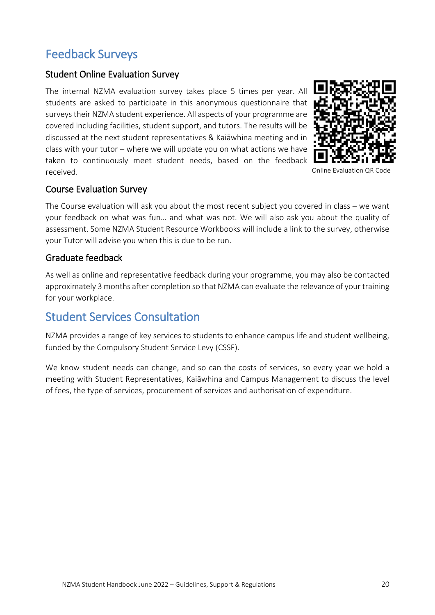### <span id="page-19-0"></span>Feedback Surveys

#### Student Online Evaluation Survey

The internal NZMA evaluation survey takes place 5 times per year. All students are asked to participate in this anonymous questionnaire that surveys their NZMA student experience. All aspects of your programme are covered including facilities, student support, and tutors. The results will be discussed at the next student representatives & Kaiāwhina meeting and in class with your tutor – where we will update you on what actions we have taken to continuously meet student needs, based on the feedback received.



Online Evaluation QR Code

#### Course Evaluation Survey

The Course evaluation will ask you about the most recent subject you covered in class – we want your feedback on what was fun… and what was not. We will also ask you about the quality of assessment. Some NZMA Student Resource Workbooks will include a link to the survey, otherwise your Tutor will advise you when this is due to be run.

#### Graduate feedback

As well as online and representative feedback during your programme, you may also be contacted approximately 3 months after completion so that NZMA can evaluate the relevance of your training for your workplace.

### <span id="page-19-1"></span>Student Services Consultation

NZMA provides a range of key services to students to enhance campus life and student wellbeing, funded by the Compulsory Student Service Levy (CSSF).

We know student needs can change, and so can the costs of services, so every year we hold a meeting with Student Representatives, Kaiāwhina and Campus Management to discuss the level of fees, the type of services, procurement of services and authorisation of expenditure.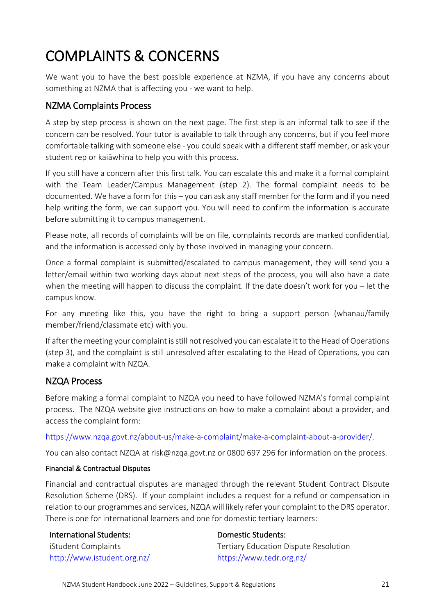# <span id="page-20-0"></span>COMPLAINTS & CONCERNS

We want you to have the best possible experience at NZMA, if you have any concerns about something at NZMA that is affecting you - we want to help.

#### NZMA Complaints Process

A step by step process is shown on the next page. The first step is an informal talk to see if the concern can be resolved. Your tutor is available to talk through any concerns, but if you feel more comfortable talking with someone else - you could speak with a different staff member, or ask your student rep or kaiāwhina to help you with this process.

If you still have a concern after this first talk. You can escalate this and make it a formal complaint with the Team Leader/Campus Management (step 2). The formal complaint needs to be documented. We have a form for this – you can ask any staff member for the form and if you need help writing the form, we can support you. You will need to confirm the information is accurate before submitting it to campus management.

Please note, all records of complaints will be on file, complaints records are marked confidential, and the information is accessed only by those involved in managing your concern.

Once a formal complaint is submitted/escalated to campus management, they will send you a letter/email within two working days about next steps of the process, you will also have a date when the meeting will happen to discuss the complaint. If the date doesn't work for you – let the campus know.

For any meeting like this, you have the right to bring a support person (whanau/family member/friend/classmate etc) with you.

If after the meeting your complaint is still not resolved you can escalate it to the Head of Operations (step 3), and the complaint is still unresolved after escalating to the Head of Operations, you can make a complaint with NZQA.

#### NZQA Process

Before making a formal complaint to NZQA you need to have followed NZMA's formal complaint process. The NZQA website give instructions on how to make a complaint about a provider, and access the complaint form:

[https://www.nzqa.govt.nz/about-us/make-a-complaint/make-a-complaint-about-a-provider/.](https://www.nzqa.govt.nz/about-us/make-a-complaint/make-a-complaint-about-a-provider/)

You can also contact NZQA at risk@nzqa.govt.nz or 0800 697 296 for information on the process.

#### Financial & Contractual Disputes

Financial and contractual disputes are managed through the relevant Student Contract Dispute Resolution Scheme (DRS). If your complaint includes a request for a refund or compensation in relation to our programmes and services, NZQA will likely refer your complaint to the DRS operator. There is one for international learners and one for domestic tertiary learners:

| International Students:     | <b>Domestic Students:</b>                    |
|-----------------------------|----------------------------------------------|
| iStudent Complaints         | <b>Tertiary Education Dispute Resolution</b> |
| http://www.istudent.org.nz/ | https://www.tedr.org.nz/                     |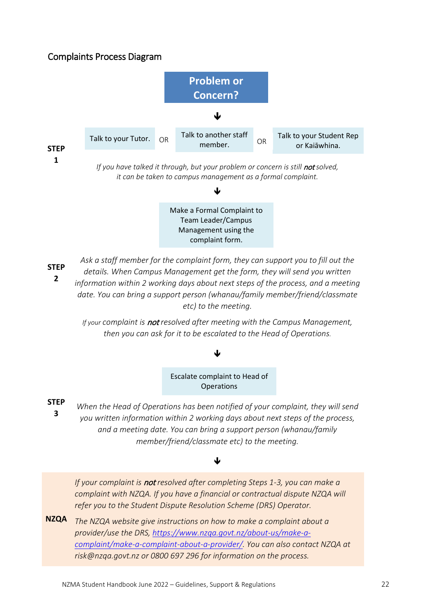#### Complaints Process Diagram



**STEP 2** *Ask a staff member for the complaint form, they can support you to fill out the details. When Campus Management get the form, they will send you written information within 2 working days about next steps of the process, and a meeting date. You can bring a support person (whanau/family member/friend/classmate* 

> *If your complaint is* not *resolved after meeting with the Campus Management, then you can ask for it to be escalated to the Head of Operations.*

*etc) to the meeting.*

 $\blacklozenge$ 

Escalate complaint to Head of **Operations** 

**STEP** 

**<sup>3</sup>** *When the Head of Operations has been notified of your complaint, they will send you written information within 2 working days about next steps of the process, and a meeting date. You can bring a support person (whanau/family member/friend/classmate etc) to the meeting.*

#### Ψ

*If your complaint is* not *resolved after completing Steps 1-3, you can make a complaint with NZQA. If you have a financial or contractual dispute NZQA will refer you to the Student Dispute Resolution Scheme (DRS) Operator.*

**NZQA** *The NZQA website give instructions on how to make a complaint about a provider/use the DRS, [https://www.nzqa.govt.nz/about-us/make-a](https://www.nzqa.govt.nz/about-us/make-a-complaint/make-a-complaint-about-a-provider/)[complaint/make-a-complaint-about-a-provider/.](https://www.nzqa.govt.nz/about-us/make-a-complaint/make-a-complaint-about-a-provider/) You can also contact NZQA at risk@nzqa.govt.nz or 0800 697 296 for information on the process.*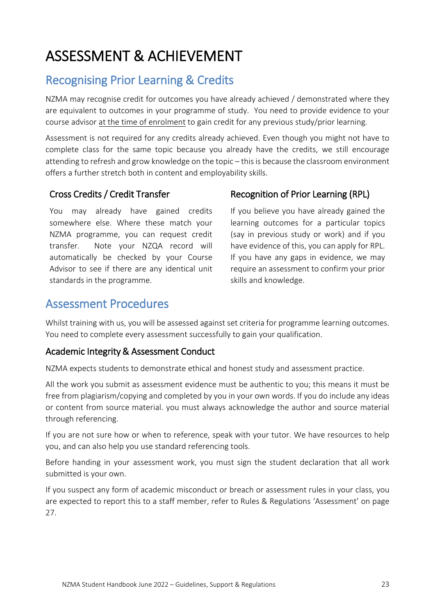# <span id="page-22-0"></span>ASSESSMENT & ACHIEVEMENT

### <span id="page-22-1"></span>Recognising Prior Learning & Credits

NZMA may recognise credit for outcomes you have already achieved / demonstrated where they are equivalent to outcomes in your programme of study. You need to provide evidence to your course advisor at the time of enrolment to gain credit for any previous study/prior learning.

Assessment is not required for any credits already achieved. Even though you might not have to complete class for the same topic because you already have the credits, we still encourage attending to refresh and grow knowledge on the topic – this is because the classroom environment offers a further stretch both in content and employability skills.

#### Cross Credits / Credit Transfer

You may already have gained credits somewhere else. Where these match your NZMA programme, you can request credit transfer. Note your NZQA record will automatically be checked by your Course Advisor to see if there are any identical unit standards in the programme.

#### Recognition of Prior Learning (RPL)

If you believe you have already gained the learning outcomes for a particular topics (say in previous study or work) and if you have evidence of this, you can apply for RPL. If you have any gaps in evidence, we may require an assessment to confirm your prior skills and knowledge.

### <span id="page-22-2"></span>Assessment Procedures

Whilst training with us, you will be assessed against set criteria for programme learning outcomes. You need to complete every assessment successfully to gain your qualification.

#### Academic Integrity & Assessment Conduct

NZMA expects students to demonstrate ethical and honest study and assessment practice.

All the work you submit as assessment evidence must be authentic to you; this means it must be free from plagiarism/copying and completed by you in your own words. If you do include any ideas or content from source material. you must always acknowledge the author and source material through referencing.

If you are not sure how or when to reference, speak with your tutor. We have resources to help you, and can also help you use standard referencing tools.

Before handing in your assessment work, you must sign the student declaration that all work submitted is your own.

If you suspect any form of academic misconduct or breach or assessment rules in your class, you are expected to report this to a staff member, refer to Rules & Regulations 'Assessment' on page 27.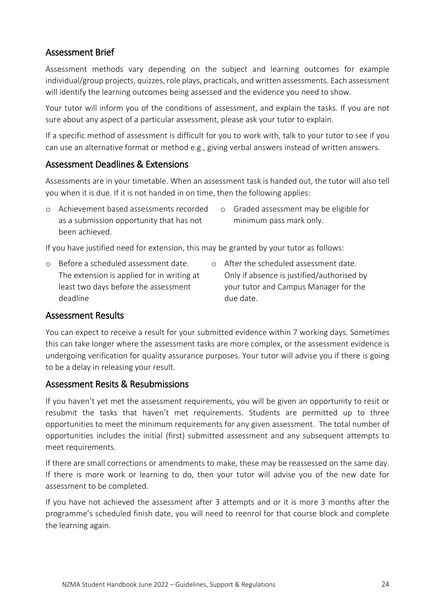#### Assessment Brief

Assessment methods vary depending on the subject and learning outcomes for example individual/group projects, quizzes, role plays, practicals, and written assessments. Each assessment will identify the learning outcomes being assessed and the evidence you need to show.

Your tutor will inform you of the conditions of assessment, and explain the tasks. If you are not sure about any aspect of a particular assessment, please ask your tutor to explain.

If a specific method of assessment is difficult for you to work with, talk to your tutor to see if you can use an alternative format or method e.g., giving verbal answers instead of written answers.

#### Assessment Deadlines & Extensions

Assessments are in your timetable. When an assessment task is handed out, the tutor will also tell you when it is due. If it is not handed in on time, then the following applies:

- o Achievement based assessments recorded o Graded assessment may be eligible for as a submission opportunity that has not been achieved.
- minimum pass mark only.

If you have justified need for extension, this may be granted by your tutor as follows:

- o Before a scheduled assessment date. The extension is applied for in writing at least two days before the assessment deadline
- o After the scheduled assessment date. Only if absence is justified/authorised by your tutor and Campus Manager for the due date.

#### Assessment Results

You can expect to receive a result for your submitted evidence within 7 working days. Sometimes this can take longer where the assessment tasks are more complex, or the assessment evidence is undergoing verification for quality assurance purposes. Your tutor will advise you if there is going to be a delay in releasing your result.

#### Assessment Resits & Resubmissions

If you haven't yet met the assessment requirements, you will be given an opportunity to resit or resubmit the tasks that haven't met requirements. Students are permitted up to three opportunities to meet the minimum requirements for any given assessment. The total number of opportunities includes the initial (first) submitted assessment and any subsequent attempts to meet requirements.

If there are small corrections or amendments to make, these may be reassessed on the same day. If there is more work or learning to do, then your tutor will advise you of the new date for assessment to be completed.

If you have not achieved the assessment after 3 attempts and or it is more 3 months after the programme's scheduled finish date, you will need to reenrol for that course block and complete the learning again.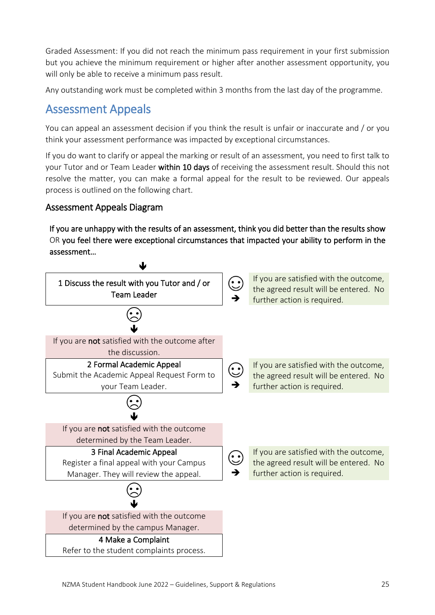Graded Assessment: If you did not reach the minimum pass requirement in your first submission but you achieve the minimum requirement or higher after another assessment opportunity, you will only be able to receive a minimum pass result.

Any outstanding work must be completed within 3 months from the last day of the programme.

### <span id="page-24-0"></span>Assessment Appeals

You can appeal an assessment decision if you think the result is unfair or inaccurate and / or you think your assessment performance was impacted by exceptional circumstances.

If you do want to clarify or appeal the marking or result of an assessment, you need to first talk to your Tutor and or Team Leader within 10 days of receiving the assessment result. Should this not resolve the matter, you can make a formal appeal for the result to be reviewed. Our appeals process is outlined on the following chart.

#### Assessment Appeals Diagram

If you are unhappy with the results of an assessment, think you did better than the results show OR you feel there were exceptional circumstances that impacted your ability to perform in the assessment…

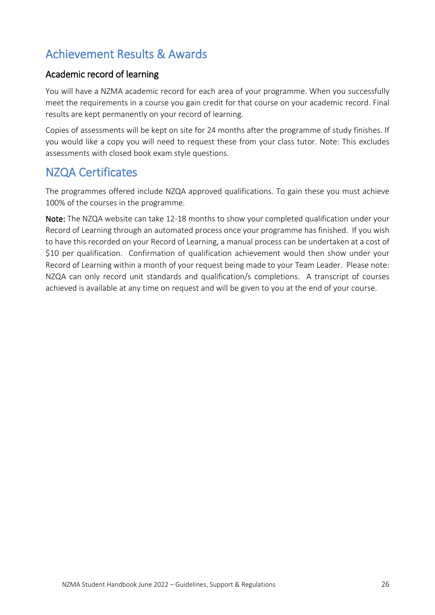### <span id="page-25-0"></span>Achievement Results & Awards

#### Academic record of learning

You will have a NZMA academic record for each area of your programme. When you successfully meet the requirements in a course you gain credit for that course on your academic record. Final results are kept permanently on your record of learning.

Copies of assessments will be kept on site for 24 months after the programme of study finishes. If you would like a copy you will need to request these from your class tutor. Note: This excludes assessments with closed book exam style questions.

### <span id="page-25-1"></span>NZQA Certificates

The programmes offered include NZQA approved qualifications. To gain these you must achieve 100% of the courses in the programme.

Note: The NZQA website can take 12-18 months to show your completed qualification under your Record of Learning through an automated process once your programme has finished. If you wish to have this recorded on your Record of Learning, a manual process can be undertaken at a cost of \$10 per qualification. Confirmation of qualification achievement would then show under your Record of Learning within a month of your request being made to your Team Leader. Please note: NZQA can only record unit standards and qualification/s completions. A transcript of courses achieved is available at any time on request and will be given to you at the end of your course.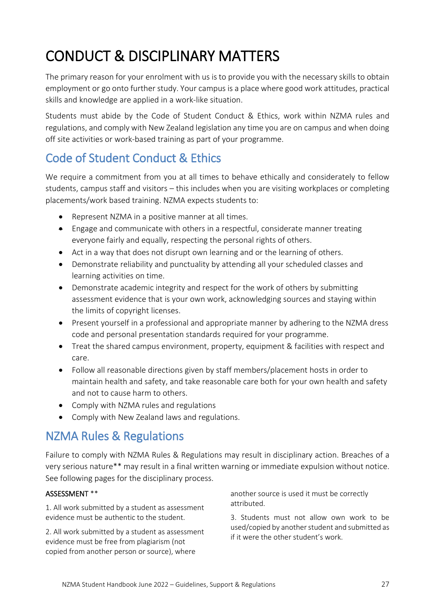# <span id="page-26-0"></span>CONDUCT & DISCIPLINARY MATTERS

The primary reason for your enrolment with us is to provide you with the necessary skills to obtain employment or go onto further study. Your campus is a place where good work attitudes, practical skills and knowledge are applied in a work-like situation.

Students must abide by the Code of Student Conduct & Ethics, work within NZMA rules and regulations, and comply with New Zealand legislation any time you are on campus and when doing off site activities or work-based training as part of your programme.

### <span id="page-26-1"></span>Code of Student Conduct & Ethics

We require a commitment from you at all times to behave ethically and considerately to fellow students, campus staff and visitors – this includes when you are visiting workplaces or completing placements/work based training. NZMA expects students to:

- Represent NZMA in a positive manner at all times.
- Engage and communicate with others in a respectful, considerate manner treating everyone fairly and equally, respecting the personal rights of others.
- Act in a way that does not disrupt own learning and or the learning of others.
- Demonstrate reliability and punctuality by attending all your scheduled classes and learning activities on time.
- Demonstrate academic integrity and respect for the work of others by submitting assessment evidence that is your own work, acknowledging sources and staying within the limits of copyright licenses.
- Present yourself in a professional and appropriate manner by adhering to the NZMA dress code and personal presentation standards required for your programme.
- Treat the shared campus environment, property, equipment & facilities with respect and care.
- Follow all reasonable directions given by staff members/placement hosts in order to maintain health and safety, and take reasonable care both for your own health and safety and not to cause harm to others.
- Comply with NZMA rules and regulations
- Comply with New Zealand laws and regulations.

### <span id="page-26-2"></span>NZMA Rules & Regulations

Failure to comply with NZMA Rules & Regulations may result in disciplinary action. Breaches of a very serious nature\*\* may result in a final written warning or immediate expulsion without notice. See following pages for the disciplinary process.

#### ASSESSMENT \*\*

1. All work submitted by a student as assessment evidence must be authentic to the student.

2. All work submitted by a student as assessment evidence must be free from plagiarism (not copied from another person or source), where

another source is used it must be correctly attributed.

3. Students must not allow own work to be used/copied by another student and submitted as if it were the other student's work.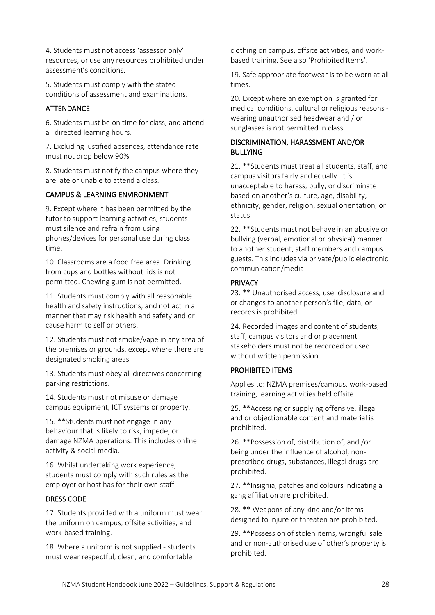4. Students must not access 'assessor only' resources, or use any resources prohibited under assessment's conditions.

5. Students must comply with the stated conditions of assessment and examinations.

#### **ATTENDANCE**

6. Students must be on time for class, and attend all directed learning hours.

7. Excluding justified absences, attendance rate must not drop below 90%.

8. Students must notify the campus where they are late or unable to attend a class.

#### CAMPUS & LEARNING ENVIRONMENT

9. Except where it has been permitted by the tutor to support learning activities, students must silence and refrain from using phones/devices for personal use during class time.

10. Classrooms are a food free area. Drinking from cups and bottles without lids is not permitted. Chewing gum is not permitted.

11. Students must comply with all reasonable health and safety instructions, and not act in a manner that may risk health and safety and or cause harm to self or others.

12. Students must not smoke/vape in any area of the premises or grounds, except where there are designated smoking areas.

13. Students must obey all directives concerning parking restrictions.

14. Students must not misuse or damage campus equipment, ICT systems or property.

15. \*\*Students must not engage in any behaviour that is likely to risk, impede, or damage NZMA operations. This includes online activity & social media.

16. Whilst undertaking work experience, students must comply with such rules as the employer or host has for their own staff.

#### DRESS CODE

17. Students provided with a uniform must wear the uniform on campus, offsite activities, and work-based training.

18. Where a uniform is not supplied - students must wear respectful, clean, and comfortable

clothing on campus, offsite activities, and workbased training. See also 'Prohibited Items'.

19. Safe appropriate footwear is to be worn at all times.

20. Except where an exemption is granted for medical conditions, cultural or religious reasons wearing unauthorised headwear and / or sunglasses is not permitted in class.

#### DISCRIMINATION, HARASSMENT AND/OR BULLYING

21. \*\*Students must treat all students, staff, and campus visitors fairly and equally. It is unacceptable to harass, bully, or discriminate based on another's culture, age, disability, ethnicity, gender, religion, sexual orientation, or status

22. \*\*Students must not behave in an abusive or bullying (verbal, emotional or physical) manner to another student, staff members and campus guests. This includes via private/public electronic communication/media

#### PRIVACY

23. \*\* Unauthorised access, use, disclosure and or changes to another person's file, data, or records is prohibited.

24. Recorded images and content of students, staff, campus visitors and or placement stakeholders must not be recorded or used without written permission.

#### PROHIBITED ITEMS

Applies to: NZMA premises/campus, work-based training, learning activities held offsite.

25. \*\*Accessing or supplying offensive, illegal and or objectionable content and material is prohibited.

26. \*\*Possession of, distribution of, and /or being under the influence of alcohol, nonprescribed drugs, substances, illegal drugs are prohibited.

27. \*\*Insignia, patches and colours indicating a gang affiliation are prohibited.

28. \*\* Weapons of any kind and/or items designed to injure or threaten are prohibited.

29. \*\*Possession of stolen items, wrongful sale and or non-authorised use of other's property is prohibited.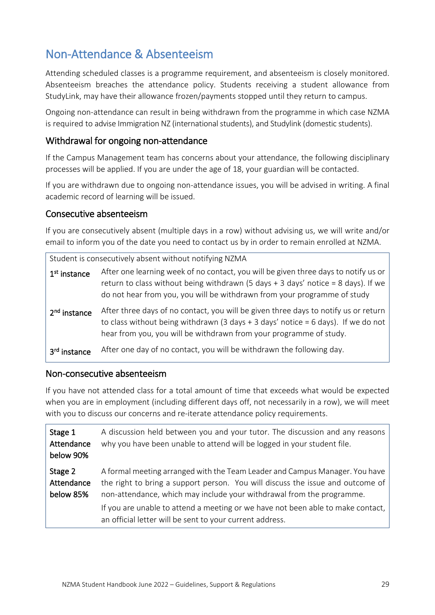### <span id="page-28-0"></span>Non-Attendance & Absenteeism

Attending scheduled classes is a programme requirement, and absenteeism is closely monitored. Absenteeism breaches the attendance policy. Students receiving a student allowance from StudyLink, may have their allowance frozen/payments stopped until they return to campus.

Ongoing non-attendance can result in being withdrawn from the programme in which case NZMA is required to advise Immigration NZ (international students), and Studylink (domestic students).

#### Withdrawal for ongoing non-attendance

If the Campus Management team has concerns about your attendance, the following disciplinary processes will be applied. If you are under the age of 18, your guardian will be contacted.

If you are withdrawn due to ongoing non-attendance issues, you will be advised in writing. A final academic record of learning will be issued.

#### Consecutive absenteeism

If you are consecutively absent (multiple days in a row) without advising us, we will write and/or email to inform you of the date you need to contact us by in order to remain enrolled at NZMA.

| Student is consecutively absent without notifying NZMA |                                                                                                                                                                                                                                                      |  |  |
|--------------------------------------------------------|------------------------------------------------------------------------------------------------------------------------------------------------------------------------------------------------------------------------------------------------------|--|--|
| 1 <sup>st</sup> instance                               | After one learning week of no contact, you will be given three days to notify us or<br>return to class without being withdrawn (5 days + 3 days' notice = 8 days). If we<br>do not hear from you, you will be withdrawn from your programme of study |  |  |
| 2 <sup>nd</sup> instance                               | After three days of no contact, you will be given three days to notify us or return<br>to class without being withdrawn (3 days + 3 days' notice = 6 days). If we do not<br>hear from you, you will be withdrawn from your programme of study.       |  |  |
| 3rd instance                                           | After one day of no contact, you will be withdrawn the following day.                                                                                                                                                                                |  |  |

#### Non-consecutive absenteeism

If you have not attended class for a total amount of time that exceeds what would be expected when you are in employment (including different days off, not necessarily in a row), we will meet with you to discuss our concerns and re-iterate attendance policy requirements.

| Stage 1<br>Attendance<br>below 90% | A discussion held between you and your tutor. The discussion and any reasons<br>why you have been unable to attend will be logged in your student file.                                                                                                                                                                   |
|------------------------------------|---------------------------------------------------------------------------------------------------------------------------------------------------------------------------------------------------------------------------------------------------------------------------------------------------------------------------|
| Stage 2<br>Attendance<br>below 85% | A formal meeting arranged with the Team Leader and Campus Manager. You have<br>the right to bring a support person. You will discuss the issue and outcome of<br>non-attendance, which may include your withdrawal from the programme.<br>If you are unable to attend a meeting or we have not been able to make contact, |
|                                    | an official letter will be sent to your current address.                                                                                                                                                                                                                                                                  |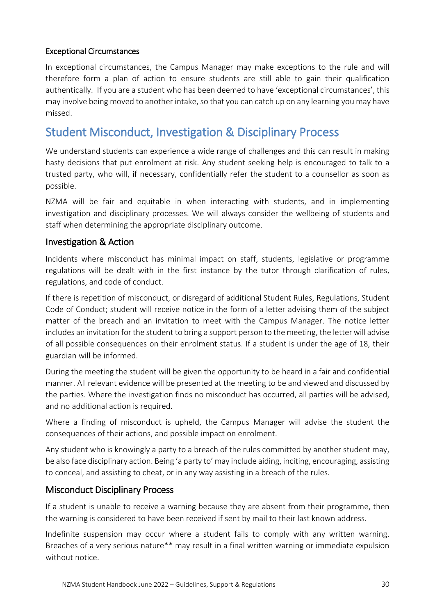#### Exceptional Circumstances

In exceptional circumstances, the Campus Manager may make exceptions to the rule and will therefore form a plan of action to ensure students are still able to gain their qualification authentically. If you are a student who has been deemed to have 'exceptional circumstances', this may involve being moved to another intake, so that you can catch up on any learning you may have missed.

### <span id="page-29-0"></span>Student Misconduct, Investigation & Disciplinary Process

We understand students can experience a wide range of challenges and this can result in making hasty decisions that put enrolment at risk. Any student seeking help is encouraged to talk to a trusted party, who will, if necessary, confidentially refer the student to a counsellor as soon as possible.

NZMA will be fair and equitable in when interacting with students, and in implementing investigation and disciplinary processes. We will always consider the wellbeing of students and staff when determining the appropriate disciplinary outcome.

#### Investigation & Action

Incidents where misconduct has minimal impact on staff, students, legislative or programme regulations will be dealt with in the first instance by the tutor through clarification of rules, regulations, and code of conduct.

If there is repetition of misconduct, or disregard of additional Student Rules, Regulations, Student Code of Conduct; student will receive notice in the form of a letter advising them of the subject matter of the breach and an invitation to meet with the Campus Manager. The notice letter includes an invitation for the student to bring a support person to the meeting, the letter will advise of all possible consequences on their enrolment status. If a student is under the age of 18, their guardian will be informed.

During the meeting the student will be given the opportunity to be heard in a fair and confidential manner. All relevant evidence will be presented at the meeting to be and viewed and discussed by the parties. Where the investigation finds no misconduct has occurred, all parties will be advised, and no additional action is required.

Where a finding of misconduct is upheld, the Campus Manager will advise the student the consequences of their actions, and possible impact on enrolment.

Any student who is knowingly a party to a breach of the rules committed by another student may, be also face disciplinary action. Being 'a party to' may include aiding, inciting, encouraging, assisting to conceal, and assisting to cheat, or in any way assisting in a breach of the rules.

#### Misconduct Disciplinary Process

If a student is unable to receive a warning because they are absent from their programme, then the warning is considered to have been received if sent by mail to their last known address.

Indefinite suspension may occur where a student fails to comply with any written warning. Breaches of a very serious nature\*\* may result in a final written warning or immediate expulsion without notice.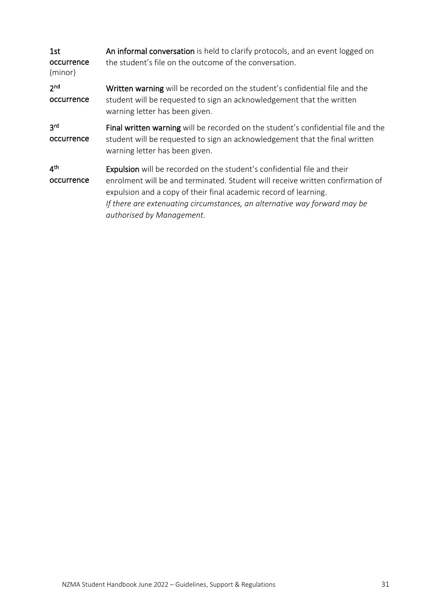| 1st<br>occurrence<br>(minor)  | An informal conversation is held to clarify protocols, and an event logged on<br>the student's file on the outcome of the conversation.                                                                                                                                                                                                        |
|-------------------------------|------------------------------------------------------------------------------------------------------------------------------------------------------------------------------------------------------------------------------------------------------------------------------------------------------------------------------------------------|
| 2 <sub>nd</sub><br>occurrence | Written warning will be recorded on the student's confidential file and the<br>student will be requested to sign an acknowledgement that the written<br>warning letter has been given.                                                                                                                                                         |
| 3 <sup>rd</sup><br>occurrence | Final written warning will be recorded on the student's confidential file and the<br>student will be requested to sign an acknowledgement that the final written<br>warning letter has been given.                                                                                                                                             |
| 4 <sup>th</sup><br>occurrence | <b>Expulsion</b> will be recorded on the student's confidential file and their<br>enrolment will be and terminated. Student will receive written confirmation of<br>expulsion and a copy of their final academic record of learning.<br>If there are extenuating circumstances, an alternative way forward may be<br>authorised by Management. |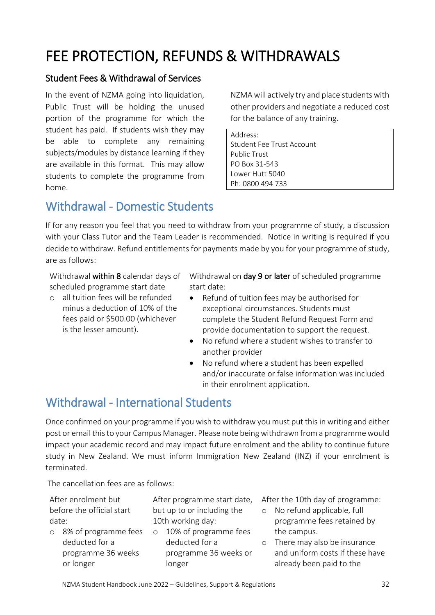# <span id="page-31-0"></span>FEE PROTECTION, REFUNDS & WITHDRAWALS

#### Student Fees & Withdrawal of Services

In the event of NZMA going into liquidation, Public Trust will be holding the unused portion of the programme for which the student has paid. If students wish they may be able to complete any remaining subjects/modules by distance learning if they are available in this format. This may allow students to complete the programme from home.

NZMA will actively try and place students with other providers and negotiate a reduced cost for the balance of any training.

Address: Student Fee Trust Account Public Trust PO Box 31-543 Lower Hutt 5040 Ph: 0800 494 733

### <span id="page-31-1"></span>Withdrawal - Domestic Students

If for any reason you feel that you need to withdraw from your programme of study, a discussion with your Class Tutor and the Team Leader is recommended. Notice in writing is required if you decide to withdraw. Refund entitlements for payments made by you for your programme of study, are as follows:

Withdrawal within 8 calendar days of scheduled programme start date

o all tuition fees will be refunded minus a deduction of 10% of the fees paid or \$500.00 (whichever is the lesser amount).

Withdrawal on day 9 or later of scheduled programme start date:

- Refund of tuition fees may be authorised for exceptional circumstances. Students must complete the Student Refund Request Form and provide documentation to support the request.
- No refund where a student wishes to transfer to another provider
- No refund where a student has been expelled and/or inaccurate or false information was included in their enrolment application.

### <span id="page-31-2"></span>Withdrawal - International Students

Once confirmed on your programme if you wish to withdraw you must put this in writing and either post or email this to your Campus Manager. Please note being withdrawn from a programme would impact your academic record and may impact future enrolment and the ability to continue future study in New Zealand. We must inform Immigration New Zealand (INZ) if your enrolment is terminated.

The cancellation fees are as follows:

|       | After enrolment but       |         | After programme start date, |         | After the 10th day of programme: |
|-------|---------------------------|---------|-----------------------------|---------|----------------------------------|
|       | before the official start |         | but up to or including the  |         | o No refund applicable, full     |
| date: |                           |         | 10th working day:           |         | programme fees retained by       |
|       | o 8% of programme fees    | $\circ$ | 10% of programme fees       |         | the campus.                      |
|       | deducted for a            |         | deducted for a              | $\circ$ | There may also be insurance      |
|       | programme 36 weeks        |         | programme 36 weeks or       |         | and uniform costs if these have  |
|       | or longer                 |         | longer                      |         | already been paid to the         |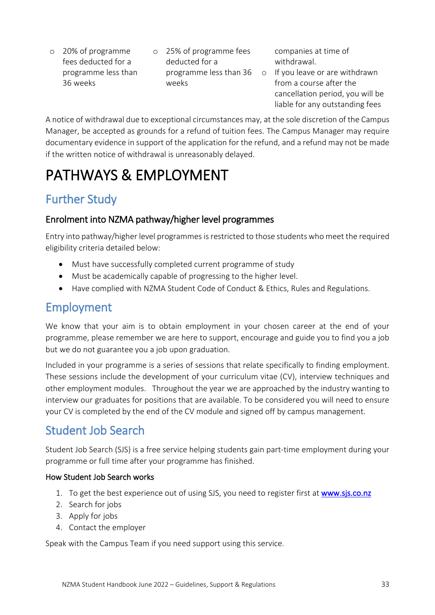- o 20% of programme fees deducted for a programme less than 36 weeks
- o 25% of programme fees deducted for a weeks

companies at time of withdrawal.

programme less than 36 o If you leave or are withdrawn from a course after the cancellation period, you will be liable for any outstanding fees

A notice of withdrawal due to exceptional circumstances may, at the sole discretion of the Campus Manager, be accepted as grounds for a refund of tuition fees. The Campus Manager may require documentary evidence in support of the application for the refund, and a refund may not be made if the written notice of withdrawal is unreasonably delayed.

# <span id="page-32-0"></span>PATHWAYS & EMPLOYMENT

### <span id="page-32-1"></span>Further Study

### Enrolment into NZMA pathway/higher level programmes

Entry into pathway/higher level programmes is restricted to those students who meet the required eligibility criteria detailed below:

- Must have successfully completed current programme of study
- Must be academically capable of progressing to the higher level.
- Have complied with NZMA Student Code of Conduct & Ethics, Rules and Regulations.

### <span id="page-32-2"></span>Employment

We know that your aim is to obtain employment in your chosen career at the end of your programme, please remember we are here to support, encourage and guide you to find you a job but we do not guarantee you a job upon graduation.

Included in your programme is a series of sessions that relate specifically to finding employment. These sessions include the development of your curriculum vitae (CV), interview techniques and other employment modules. Throughout the year we are approached by the industry wanting to interview our graduates for positions that are available. To be considered you will need to ensure your CV is completed by the end of the CV module and signed off by campus management.

### <span id="page-32-3"></span>Student Job Search

Student Job Search (SJS) is a free service helping students gain part-time employment during your programme or full time after your programme has finished.

#### How Student Job Search works

- 1. To get the best experience out of using SJS, you need to register first at www.sjs.co.nz
- 2. Search for jobs
- 3. Apply for jobs
- 4. Contact the employer

Speak with the Campus Team if you need support using this service.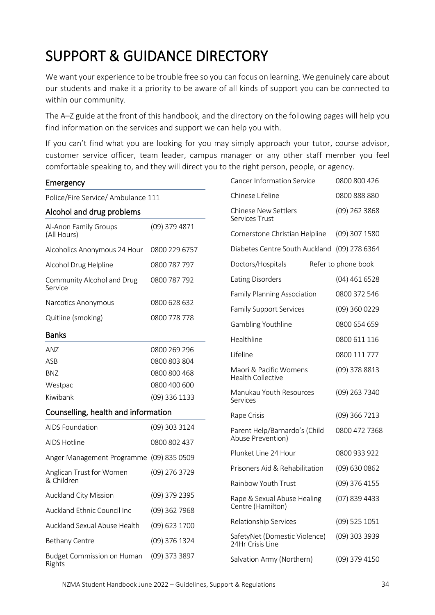# <span id="page-33-0"></span>SUPPORT & GUIDANCE DIRECTORY

We want your experience to be trouble free so you can focus on learning. We genuinely care about our students and make it a priority to be aware of all kinds of support you can be connected to within our community.

The A–Z guide at the front of this handbook, and the directory on the following pages will help you find information on the services and support we can help you with.

If you can't find what you are looking for you may simply approach your tutor, course advisor, customer service officer, team leader, campus manager or any other staff member you feel comfortable speaking to, and they will direct you to the right person, people, or agency.

| Emergency                                   |                 | <b>Cancer Information Service</b>                 | 0800 800 426        |
|---------------------------------------------|-----------------|---------------------------------------------------|---------------------|
| Police/Fire Service/ Ambulance 111          |                 | Chinese Lifeline                                  | 0800 888 880        |
| Alcohol and drug problems                   |                 | <b>Chinese New Settlers</b><br>Services Trust     | $(09)$ 262 3868     |
| Al-Anon Family Groups<br>(All Hours)        | (09) 379 4871   | Cornerstone Christian Helpline                    | (09) 307 1580       |
| Alcoholics Anonymous 24 Hour                | 0800 229 6757   | Diabetes Centre South Auckland (09) 278 6364      |                     |
| Alcohol Drug Helpline                       | 0800 787 797    | Doctors/Hospitals                                 | Refer to phone book |
| Community Alcohol and Drug<br>Service       | 0800 787 792    | <b>Eating Disorders</b>                           | $(04)$ 461 6528     |
| Narcotics Anonymous                         | 0800 628 632    | <b>Family Planning Association</b>                | 0800 372 546        |
|                                             | 0800 778 778    | <b>Family Support Services</b>                    | (09) 360 0229       |
| Quitline (smoking)                          |                 | Gambling Youthline                                | 0800 654 659        |
| <b>Banks</b>                                |                 | Healthline                                        | 0800 611 116        |
| ANZ                                         | 0800 269 296    | Lifeline                                          | 0800 111 777        |
| ASB                                         | 0800 803 804    | Maori & Pacific Womens                            | $(09)$ 378 8813     |
| <b>BNZ</b>                                  | 0800 800 468    | <b>Health Collective</b>                          |                     |
| Westpac                                     | 0800 400 600    | Manukau Youth Resources                           | (09) 263 7340       |
| Kiwibank                                    | (09) 336 1133   | Services                                          |                     |
| Counselling, health and information         |                 | Rape Crisis                                       | $(09)$ 366 7213     |
| AIDS Foundation                             | (09) 303 3124   | Parent Help/Barnardo's (Child                     | 0800 472 7368       |
| AIDS Hotline                                | 0800 802 437    | Abuse Prevention)                                 |                     |
| Anger Management Programme (09) 835 0509    |                 | Plunket Line 24 Hour                              | 0800 933 922        |
| Anglican Trust for Women                    | (09) 276 3729   | Prisoners Aid & Rehabilitation                    | $(09)$ 630 0862     |
| & Children                                  |                 | Rainbow Youth Trust                               | $(09)$ 376 4155     |
| <b>Auckland City Mission</b>                | (09) 379 2395   | Rape & Sexual Abuse Healing                       | (07) 839 4433       |
| Auckland Ethnic Council Inc                 | (09) 362 7968   | Centre (Hamilton)                                 |                     |
| Auckland Sexual Abuse Health                | (09) 623 1700   | Relationship Services                             | $(09)$ 525 1051     |
| Bethany Centre                              | (09) 376 1324   | SafetyNet (Domestic Violence)<br>24Hr Crisis Line | $(09)$ 303 3939     |
| <b>Budget Commission on Human</b><br>Rights | $(09)$ 373 3897 | Salvation Army (Northern)                         | $(09)$ 379 4150     |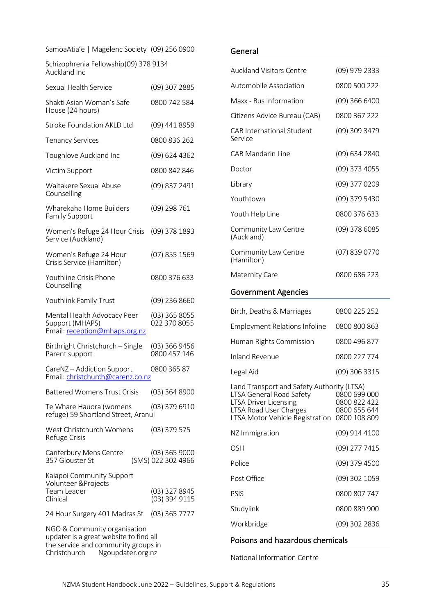SamoaAtia'e | Magelenc Society (09) 256 0900

Schizophrenia Fellowship(09) 378 9134 Auckland Inc

| Sexual Health Service                                                                                                                              | (09) 307 2885                         |  |  |
|----------------------------------------------------------------------------------------------------------------------------------------------------|---------------------------------------|--|--|
| Shakti Asian Woman's Safe<br>House (24 hours)                                                                                                      | 0800 742 584                          |  |  |
| <b>Stroke Foundation AKLD Ltd</b>                                                                                                                  | (09) 441 8959                         |  |  |
| <b>Tenancy Services</b>                                                                                                                            | 0800 836 262                          |  |  |
| Toughlove Auckland Inc                                                                                                                             | (09) 624 4362                         |  |  |
| Victim Support                                                                                                                                     | 0800 842 846                          |  |  |
| Waitakere Sexual Abuse<br>Counselling                                                                                                              | (09) 837 2491                         |  |  |
| Wharekaha Home Builders<br><b>Family Support</b>                                                                                                   | (09) 298 761                          |  |  |
| Women's Refuge 24 Hour Crisis<br>Service (Auckland)                                                                                                | (09) 378 1893                         |  |  |
| Women's Refuge 24 Hour<br>Crisis Service (Hamilton)                                                                                                | (07) 855 1569                         |  |  |
| Youthline Crisis Phone<br>Counselling                                                                                                              | 0800 376 633                          |  |  |
| Youthlink Family Trust                                                                                                                             | $(09)$ 236 8660                       |  |  |
| Mental Health Advocacy Peer<br>Support (MHAPS)<br>Email: reception@mhaps.org.nz                                                                    | $(03)$ 365 8055<br>022 370 8055       |  |  |
| Birthright Christchurch - Single<br>Parent support                                                                                                 | $(03)$ 366 9456<br>0800 457 146       |  |  |
| CareNZ-Addiction Support<br>Email: christchurch@carenz.co.nz                                                                                       | 0800 365 87                           |  |  |
| <b>Battered Womens Trust Crisis</b>                                                                                                                | $(03)$ 364 8900                       |  |  |
| Te Whare Hauora (womens<br>refuge) 59 Shortland Street, Aranui                                                                                     | (03) 379 6910                         |  |  |
| West Christchurch Womens<br>Refuge Crisis                                                                                                          | $(03)$ 379 575                        |  |  |
| Canterbury Mens Centre<br>357 Glouster St                                                                                                          | $(03)$ 365 9000<br>(SMS) 022 302 4966 |  |  |
| Kaiapoi Community Support<br>Volunteer & Projects<br>Team Leader<br>Clinical                                                                       | (03) 327 8945<br>$(03)$ 394 9115      |  |  |
| 24 Hour Surgery 401 Madras St                                                                                                                      | $(03)$ 365 7777                       |  |  |
| NGO & Community organisation<br>updater is a great website to find all<br>the service and community groups in<br>Christchurch<br>Ngoupdater.org.nz |                                       |  |  |

#### General

| <b>Auckland Visitors Centre</b>      | (09) 979 2333   |  |  |
|--------------------------------------|-----------------|--|--|
| Automobile Association               | 0800 500 222    |  |  |
| Maxx - Bus Information               | $(09)$ 366 6400 |  |  |
| Citizens Advice Bureau (CAB)         | 0800 367 222    |  |  |
| CAB International Student<br>Service | (09) 309 3479   |  |  |
| CAB Mandarin Line                    | (09) 634 2840   |  |  |
| Doctor                               | (09) 373 4055   |  |  |
| Library                              | (09) 377 0209   |  |  |
| Youthtown                            | (09) 379 5430   |  |  |
| Youth Help Line                      | 0800 376 633    |  |  |
| Community Law Centre<br>(Auckland)   | (09) 378 6085   |  |  |
| Community Law Centre<br>(Hamilton)   | (07) 839 0770   |  |  |
| <b>Maternity Care</b>                | 0800 686 223    |  |  |
| <b>Government Agencies</b>           |                 |  |  |

| Birth, Deaths & Marriages                                                                                                                                           | 0800 225 252                                                 |
|---------------------------------------------------------------------------------------------------------------------------------------------------------------------|--------------------------------------------------------------|
| <b>Employment Relations Infoline</b>                                                                                                                                | 0800 800 863                                                 |
| Human Rights Commission                                                                                                                                             | 0800 496 877                                                 |
| Inland Revenue                                                                                                                                                      | 0800 227 774                                                 |
| Legal Aid                                                                                                                                                           | (09) 306 3315                                                |
| Land Transport and Safety Authority (LTSA)<br>LTSA General Road Safety<br><b>LTSA Driver Licensing</b><br>LTSA Road User Charges<br>LTSA Motor Vehicle Registration | 0800 699 000<br>0800 822 422<br>0800 655 644<br>0800 108 809 |
| NZ Immigration                                                                                                                                                      | (09) 914 4100                                                |
| OSH                                                                                                                                                                 | (09) 277 7415                                                |
| Police                                                                                                                                                              | (09) 379 4500                                                |
| Post Office                                                                                                                                                         | (09) 302 1059                                                |
| <b>PSIS</b>                                                                                                                                                         | 0800 807 747                                                 |
| Studylink                                                                                                                                                           | 0800 889 900                                                 |
|                                                                                                                                                                     |                                                              |

### Workbridge (09) 302 2836

#### Poisons and hazardous chemicals

National Information Centre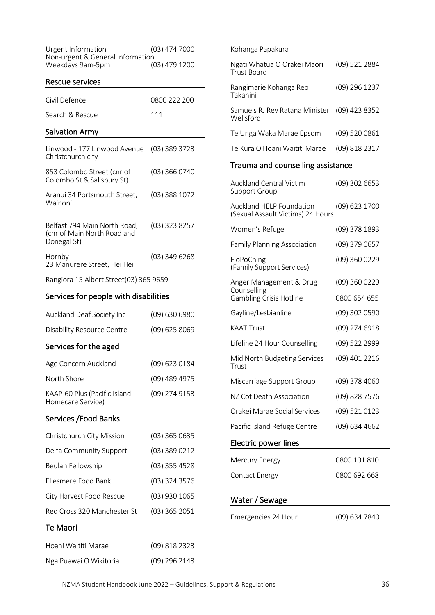| Urgent Information                                                         | (03) 474 7000   |
|----------------------------------------------------------------------------|-----------------|
| Non-urgent & General Information<br>Weekdays 9am-5pm                       | (03) 479 1200   |
| Rescue services                                                            |                 |
| Civil Defence                                                              | 0800 222 200    |
| Search & Rescue                                                            | 111             |
| <b>Salvation Army</b>                                                      |                 |
| Linwood - 177 Linwood Avenue<br>Christchurch city                          | (03) 389 3723   |
| 853 Colombo Street (cnr of<br>Colombo St & Salisbury St)                   | $(03)$ 366 0740 |
| Aranui 34 Portsmouth Street,<br>Wainoni                                    | (03) 388 1072   |
| Belfast 794 Main North Road,<br>(cnr of Main North Road and<br>Donegal St) | (03) 323 8257   |
| Hornby<br>23 Manurere Street, Hei Hei                                      | $(03)$ 349 6268 |
| Rangiora 15 Albert Street(03) 365 9659                                     |                 |
| Services for people with disabilities                                      |                 |
| Auckland Deaf Society Inc                                                  | (09) 630 6980   |
| Disability Resource Centre                                                 | $(09)$ 625 8069 |
| Services for the aged                                                      |                 |
| Age Concern Auckland                                                       | (09) 623 0184   |
| North Shore                                                                | (09) 489 4975   |
| KAAP-60 Plus (Pacific Island<br>Homecare Service)                          | (09) 274 9153   |
| Services / Food Banks                                                      |                 |
| Christchurch City Mission                                                  | $(03)$ 365 0635 |
| Delta Community Support                                                    | (03) 389 0212   |
| Beulah Fellowship                                                          | $(03)$ 355 4528 |
| Ellesmere Food Bank                                                        | $(03)$ 324 3576 |
| City Harvest Food Rescue                                                   | $(03)$ 930 1065 |
| Red Cross 320 Manchester St                                                | $(03)$ 365 2051 |
| Te Maori                                                                   |                 |
| Hoani Waititi Marae                                                        | (09) 818 2323   |
| Nga Puawai O Wikitoria                                                     | (09) 296 2143   |

| Rangimarie Kohanga Reo<br>Takanini                                       | (09) 296 1237                 |
|--------------------------------------------------------------------------|-------------------------------|
| Samuels RJ Rev Ratana Minister (09) 423 8352<br>Wellsford                |                               |
| Te Unga Waka Marae Epsom                                                 | (09) 520 0861                 |
| Te Kura O Hoani Waititi Marae                                            | (09) 818 2317                 |
| Trauma and counselling assistance                                        |                               |
| <b>Auckland Central Victim</b><br>Support Group                          | $(09)$ 302 6653               |
| <b>Auckland HELP Foundation</b><br>(Sexual Assault Victims) 24 Hours     | (09) 623 1700                 |
| Women's Refuge                                                           | (09) 378 1893                 |
| <b>Family Planning Association</b>                                       | (09) 379 0657                 |
| FioPoChing<br>(Family Support Services)                                  | (09) 360 0229                 |
| Anger Management & Drug<br>Counselling<br><b>Gambling Crisis Hotline</b> | (09) 360 0229<br>0800 654 655 |
| Gayline/Lesbianline                                                      | (09) 302 0590                 |
| <b>KAAT Trust</b>                                                        | (09) 274 6918                 |
| Lifeline 24 Hour Counselling                                             | (09) 522 2999                 |
| Mid North Budgeting Services<br>Trust                                    | (09) 401 2216                 |
| Miscarriage Support Group                                                | $(09)$ 378 4060               |
| NZ Cot Death Association                                                 | (09) 828 7576                 |
| Orakei Marae Social Services                                             | (09) 521 0123                 |
| Pacific Island Refuge Centre                                             | (09) 634 4662                 |
| Electric power lines                                                     |                               |
| Mercury Energy                                                           | 0800 101 810                  |
| Contact Energy                                                           | 0800 692 668                  |
|                                                                          |                               |

#### Water / Sewage

Kohanga Papakura

Trust Board

Ngati Whatua O Orakei Maori (09) 521 2884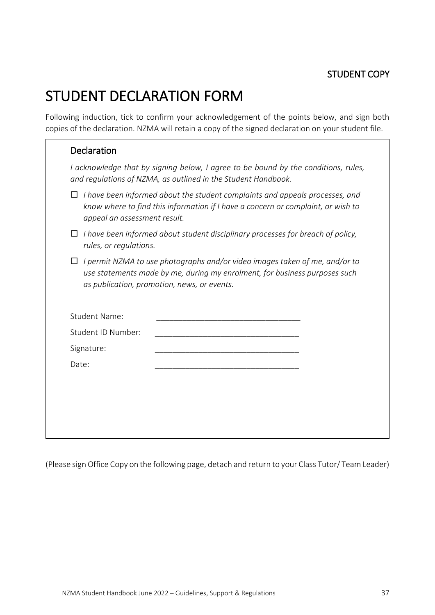# <span id="page-36-0"></span>STUDENT DECLARATION FORM

Following induction, tick to confirm your acknowledgement of the points below, and sign both copies of the declaration. NZMA will retain a copy of the signed declaration on your student file.

|                                                                                                           | Declaration                                                                                                                                                                                              |
|-----------------------------------------------------------------------------------------------------------|----------------------------------------------------------------------------------------------------------------------------------------------------------------------------------------------------------|
|                                                                                                           | I acknowledge that by signing below, I agree to be bound by the conditions, rules,<br>and regulations of NZMA, as outlined in the Student Handbook.                                                      |
| $\Box$                                                                                                    | I have been informed about the student complaints and appeals processes, and<br>know where to find this information if I have a concern or complaint, or wish to<br>appeal an assessment result.         |
| I have been informed about student disciplinary processes for breach of policy,<br>rules, or regulations. |                                                                                                                                                                                                          |
|                                                                                                           | I permit NZMA to use photographs and/or video images taken of me, and/or to<br>use statements made by me, during my enrolment, for business purposes such<br>as publication, promotion, news, or events. |
|                                                                                                           | <b>Student Name:</b>                                                                                                                                                                                     |
|                                                                                                           | Student ID Number:                                                                                                                                                                                       |
|                                                                                                           |                                                                                                                                                                                                          |
|                                                                                                           | Signature:                                                                                                                                                                                               |
| Date:                                                                                                     |                                                                                                                                                                                                          |
|                                                                                                           |                                                                                                                                                                                                          |
|                                                                                                           |                                                                                                                                                                                                          |
|                                                                                                           |                                                                                                                                                                                                          |

(Please sign Office Copy on the following page, detach and return to your Class Tutor/ Team Leader)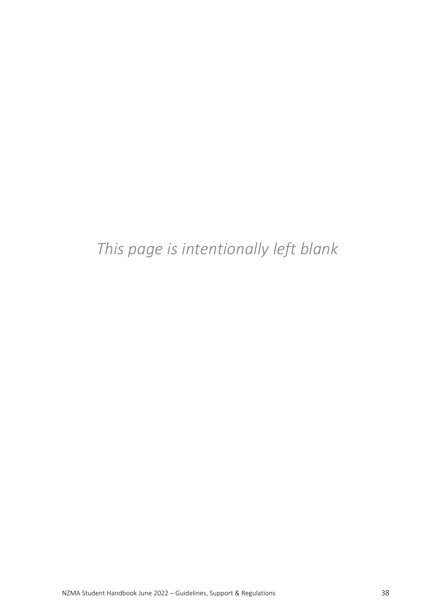*This page is intentionally left blank*